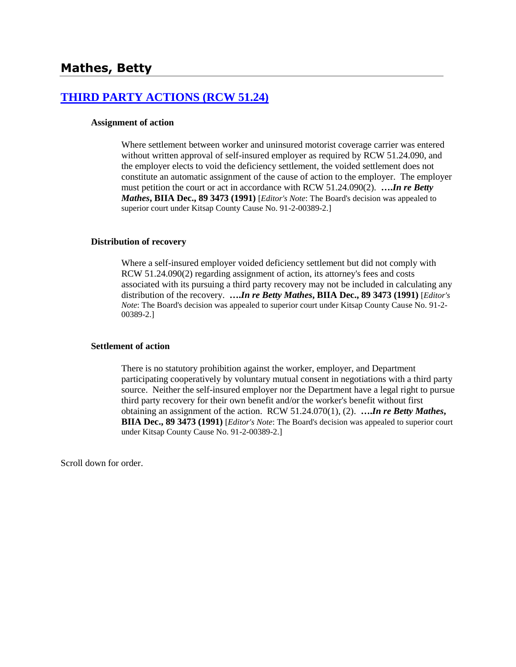# **[THIRD PARTY ACTIONS \(RCW 51.24\)](http://www.biia.wa.gov/SDSubjectIndex.html#THIRD_PARTY_ACTIONS)**

## **Assignment of action**

Where settlement between worker and uninsured motorist coverage carrier was entered without written approval of self-insured employer as required by RCW 51.24.090, and the employer elects to void the deficiency settlement, the voided settlement does not constitute an automatic assignment of the cause of action to the employer. The employer must petition the court or act in accordance with RCW 51.24.090(2). **….***In re Betty Mathes***, BIIA Dec., 89 3473 (1991)** [*Editor's Note*: The Board's decision was appealed to superior court under Kitsap County Cause No. 91-2-00389-2.]

### **Distribution of recovery**

Where a self-insured employer voided deficiency settlement but did not comply with RCW 51.24.090(2) regarding assignment of action, its attorney's fees and costs associated with its pursuing a third party recovery may not be included in calculating any distribution of the recovery. **….***In re Betty Mathes***, BIIA Dec., 89 3473 (1991)** [*Editor's Note*: The Board's decision was appealed to superior court under Kitsap County Cause No. 91-2- 00389-2.]

### **Settlement of action**

There is no statutory prohibition against the worker, employer, and Department participating cooperatively by voluntary mutual consent in negotiations with a third party source. Neither the self-insured employer nor the Department have a legal right to pursue third party recovery for their own benefit and/or the worker's benefit without first obtaining an assignment of the action. RCW 51.24.070(1), (2). **….***In re Betty Mathes***, BIIA Dec., 89 3473 (1991)** [*Editor's Note*: The Board's decision was appealed to superior court under Kitsap County Cause No. 91-2-00389-2.]

Scroll down for order.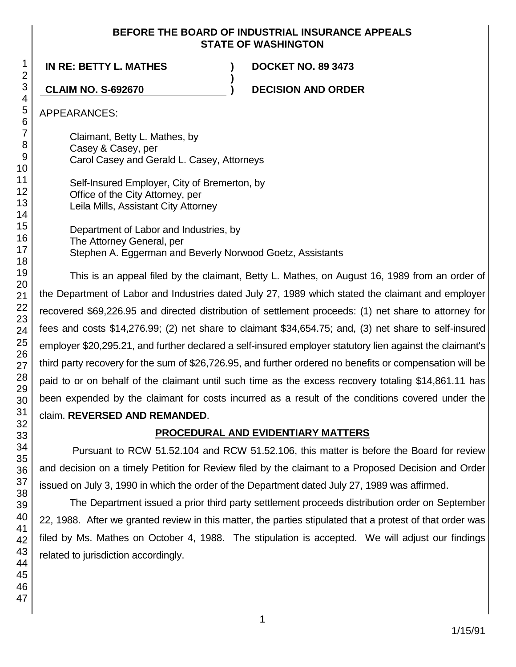## **BEFORE THE BOARD OF INDUSTRIAL INSURANCE APPEALS STATE OF WASHINGTON**

**)**

**IN RE: BETTY L. MATHES ) DOCKET NO. 89 3473**

**CLAIM NO. S-692670 ) DECISION AND ORDER**

APPEARANCES:

Claimant, Betty L. Mathes, by Casey & Casey, per Carol Casey and Gerald L. Casey, Attorneys

Self-Insured Employer, City of Bremerton, by Office of the City Attorney, per Leila Mills, Assistant City Attorney

Department of Labor and Industries, by The Attorney General, per Stephen A. Eggerman and Beverly Norwood Goetz, Assistants

This is an appeal filed by the claimant, Betty L. Mathes, on August 16, 1989 from an order of the Department of Labor and Industries dated July 27, 1989 which stated the claimant and employer recovered \$69,226.95 and directed distribution of settlement proceeds: (1) net share to attorney for fees and costs \$14,276.99; (2) net share to claimant \$34,654.75; and, (3) net share to self-insured employer \$20,295.21, and further declared a self-insured employer statutory lien against the claimant's third party recovery for the sum of \$26,726.95, and further ordered no benefits or compensation will be paid to or on behalf of the claimant until such time as the excess recovery totaling \$14,861.11 has been expended by the claimant for costs incurred as a result of the conditions covered under the claim. **REVERSED AND REMANDED**.

# **PROCEDURAL AND EVIDENTIARY MATTERS**

Pursuant to RCW 51.52.104 and RCW 51.52.106, this matter is before the Board for review and decision on a timely Petition for Review filed by the claimant to a Proposed Decision and Order issued on July 3, 1990 in which the order of the Department dated July 27, 1989 was affirmed.

The Department issued a prior third party settlement proceeds distribution order on September 22, 1988. After we granted review in this matter, the parties stipulated that a protest of that order was filed by Ms. Mathes on October 4, 1988. The stipulation is accepted. We will adjust our findings related to jurisdiction accordingly.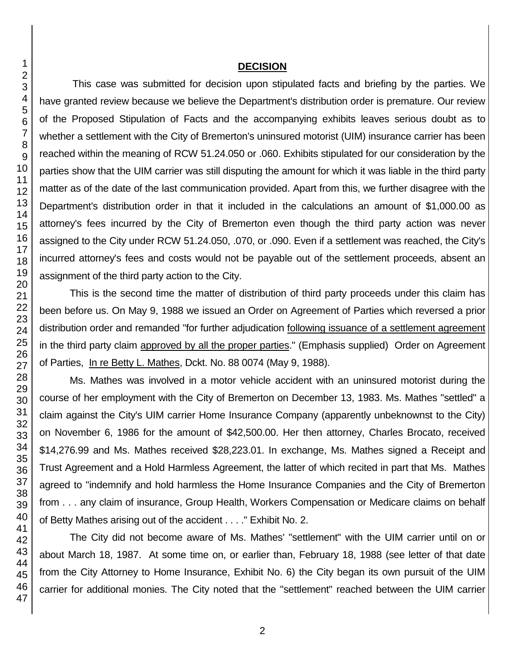## **DECISION**

This case was submitted for decision upon stipulated facts and briefing by the parties. We have granted review because we believe the Department's distribution order is premature. Our review of the Proposed Stipulation of Facts and the accompanying exhibits leaves serious doubt as to whether a settlement with the City of Bremerton's uninsured motorist (UIM) insurance carrier has been reached within the meaning of RCW 51.24.050 or .060. Exhibits stipulated for our consideration by the parties show that the UIM carrier was still disputing the amount for which it was liable in the third party matter as of the date of the last communication provided. Apart from this, we further disagree with the Department's distribution order in that it included in the calculations an amount of \$1,000.00 as attorney's fees incurred by the City of Bremerton even though the third party action was never assigned to the City under RCW 51.24.050, .070, or .090. Even if a settlement was reached, the City's incurred attorney's fees and costs would not be payable out of the settlement proceeds, absent an assignment of the third party action to the City.

This is the second time the matter of distribution of third party proceeds under this claim has been before us. On May 9, 1988 we issued an Order on Agreement of Parties which reversed a prior distribution order and remanded "for further adjudication following issuance of a settlement agreement in the third party claim approved by all the proper parties." (Emphasis supplied) Order on Agreement of Parties, In re Betty L. Mathes, Dckt. No. 88 0074 (May 9, 1988).

Ms. Mathes was involved in a motor vehicle accident with an uninsured motorist during the course of her employment with the City of Bremerton on December 13, 1983. Ms. Mathes "settled" a claim against the City's UIM carrier Home Insurance Company (apparently unbeknownst to the City) on November 6, 1986 for the amount of \$42,500.00. Her then attorney, Charles Brocato, received \$14,276.99 and Ms. Mathes received \$28,223.01. In exchange, Ms. Mathes signed a Receipt and Trust Agreement and a Hold Harmless Agreement, the latter of which recited in part that Ms. Mathes agreed to "indemnify and hold harmless the Home Insurance Companies and the City of Bremerton from . . . any claim of insurance, Group Health, Workers Compensation or Medicare claims on behalf of Betty Mathes arising out of the accident . . . ." Exhibit No. 2.

The City did not become aware of Ms. Mathes' "settlement" with the UIM carrier until on or about March 18, 1987. At some time on, or earlier than, February 18, 1988 (see letter of that date from the City Attorney to Home Insurance, Exhibit No. 6) the City began its own pursuit of the UIM carrier for additional monies. The City noted that the "settlement" reached between the UIM carrier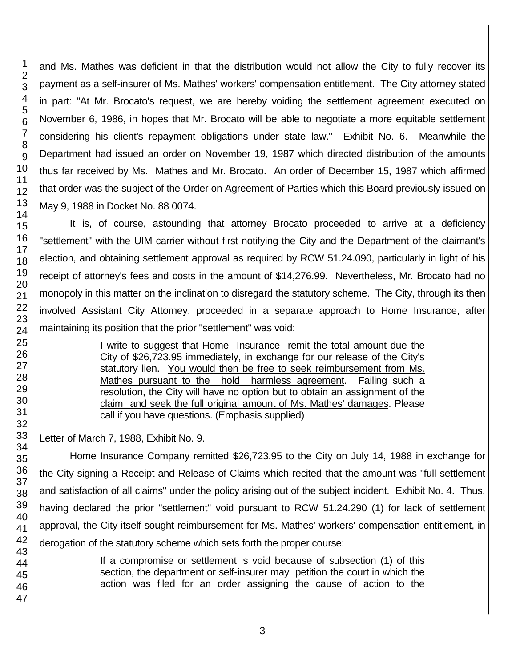and Ms. Mathes was deficient in that the distribution would not allow the City to fully recover its payment as a self-insurer of Ms. Mathes' workers' compensation entitlement. The City attorney stated in part: "At Mr. Brocato's request, we are hereby voiding the settlement agreement executed on November 6, 1986, in hopes that Mr. Brocato will be able to negotiate a more equitable settlement considering his client's repayment obligations under state law." Exhibit No. 6. Meanwhile the Department had issued an order on November 19, 1987 which directed distribution of the amounts thus far received by Ms. Mathes and Mr. Brocato. An order of December 15, 1987 which affirmed that order was the subject of the Order on Agreement of Parties which this Board previously issued on May 9, 1988 in Docket No. 88 0074.

It is, of course, astounding that attorney Brocato proceeded to arrive at a deficiency "settlement" with the UIM carrier without first notifying the City and the Department of the claimant's election, and obtaining settlement approval as required by RCW 51.24.090, particularly in light of his receipt of attorney's fees and costs in the amount of \$14,276.99. Nevertheless, Mr. Brocato had no monopoly in this matter on the inclination to disregard the statutory scheme. The City, through its then involved Assistant City Attorney, proceeded in a separate approach to Home Insurance, after maintaining its position that the prior "settlement" was void:

> I write to suggest that Home Insurance remit the total amount due the City of \$26,723.95 immediately, in exchange for our release of the City's statutory lien. You would then be free to seek reimbursement from Ms. Mathes pursuant to the hold harmless agreement. Failing such a resolution, the City will have no option but to obtain an assignment of the claim and seek the full original amount of Ms. Mathes' damages. Please call if you have questions. (Emphasis supplied)

Letter of March 7, 1988, Exhibit No. 9.

Home Insurance Company remitted \$26,723.95 to the City on July 14, 1988 in exchange for the City signing a Receipt and Release of Claims which recited that the amount was "full settlement and satisfaction of all claims" under the policy arising out of the subject incident. Exhibit No. 4. Thus, having declared the prior "settlement" void pursuant to RCW 51.24.290 (1) for lack of settlement approval, the City itself sought reimbursement for Ms. Mathes' workers' compensation entitlement, in derogation of the statutory scheme which sets forth the proper course:

> If a compromise or settlement is void because of subsection (1) of this section, the department or self-insurer may petition the court in which the action was filed for an order assigning the cause of action to the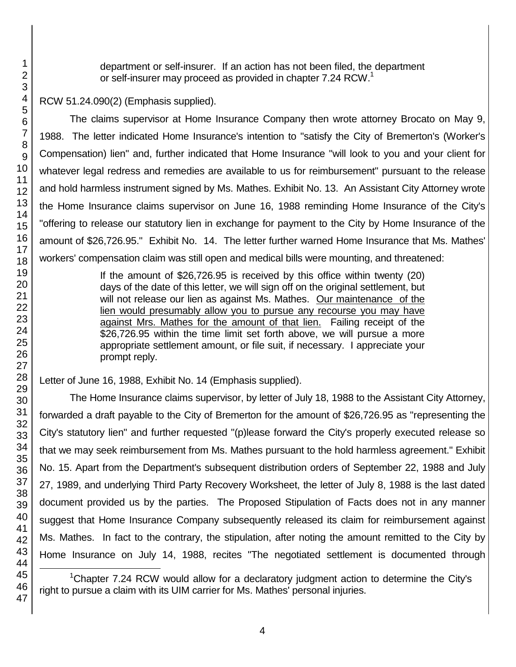department or self-insurer. If an action has not been filed, the department or self-insurer may proceed as provided in chapter 7.24 RCW.<sup>1</sup>

RCW 51.24.090(2) (Emphasis supplied).

The claims supervisor at Home Insurance Company then wrote attorney Brocato on May 9, 1988. The letter indicated Home Insurance's intention to "satisfy the City of Bremerton's (Worker's Compensation) lien" and, further indicated that Home Insurance "will look to you and your client for whatever legal redress and remedies are available to us for reimbursement" pursuant to the release and hold harmless instrument signed by Ms. Mathes. Exhibit No. 13. An Assistant City Attorney wrote the Home Insurance claims supervisor on June 16, 1988 reminding Home Insurance of the City's "offering to release our statutory lien in exchange for payment to the City by Home Insurance of the amount of \$26,726.95." Exhibit No. 14. The letter further warned Home Insurance that Ms. Mathes' workers' compensation claim was still open and medical bills were mounting, and threatened:

> If the amount of \$26,726.95 is received by this office within twenty (20) days of the date of this letter, we will sign off on the original settlement, but will not release our lien as against Ms. Mathes. Our maintenance of the lien would presumably allow you to pursue any recourse you may have against Mrs. Mathes for the amount of that lien. Failing receipt of the \$26,726.95 within the time limit set forth above, we will pursue a more appropriate settlement amount, or file suit, if necessary. I appreciate your prompt reply.

Letter of June 16, 1988, Exhibit No. 14 (Emphasis supplied).

The Home Insurance claims supervisor, by letter of July 18, 1988 to the Assistant City Attorney, forwarded a draft payable to the City of Bremerton for the amount of \$26,726.95 as "representing the City's statutory lien" and further requested "(p)lease forward the City's properly executed release so that we may seek reimbursement from Ms. Mathes pursuant to the hold harmless agreement." Exhibit No. 15. Apart from the Department's subsequent distribution orders of September 22, 1988 and July 27, 1989, and underlying Third Party Recovery Worksheet, the letter of July 8, 1988 is the last dated document provided us by the parties. The Proposed Stipulation of Facts does not in any manner suggest that Home Insurance Company subsequently released its claim for reimbursement against Ms. Mathes. In fact to the contrary, the stipulation, after noting the amount remitted to the City by Home Insurance on July 14, 1988, recites "The negotiated settlement is documented through

l <sup>1</sup>Chapter 7.24 RCW would allow for a declaratory judgment action to determine the City's right to pursue a claim with its UIM carrier for Ms. Mathes' personal injuries.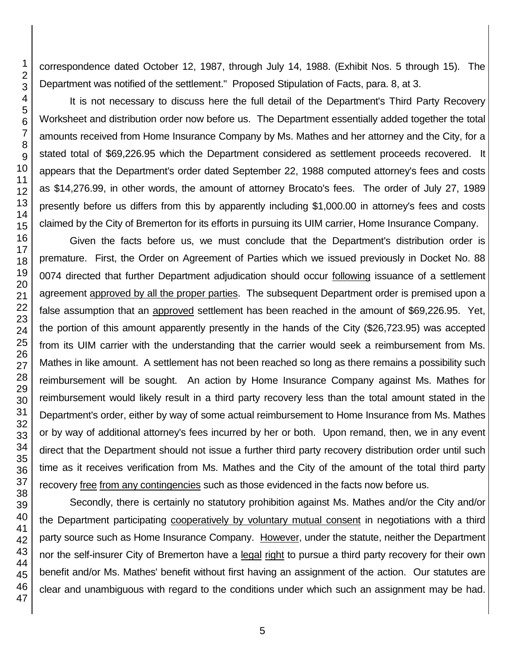correspondence dated October 12, 1987, through July 14, 1988. (Exhibit Nos. 5 through 15). The Department was notified of the settlement." Proposed Stipulation of Facts, para. 8, at 3.

It is not necessary to discuss here the full detail of the Department's Third Party Recovery Worksheet and distribution order now before us. The Department essentially added together the total amounts received from Home Insurance Company by Ms. Mathes and her attorney and the City, for a stated total of \$69,226.95 which the Department considered as settlement proceeds recovered. It appears that the Department's order dated September 22, 1988 computed attorney's fees and costs as \$14,276.99, in other words, the amount of attorney Brocato's fees. The order of July 27, 1989 presently before us differs from this by apparently including \$1,000.00 in attorney's fees and costs claimed by the City of Bremerton for its efforts in pursuing its UIM carrier, Home Insurance Company.

Given the facts before us, we must conclude that the Department's distribution order is premature. First, the Order on Agreement of Parties which we issued previously in Docket No. 88 0074 directed that further Department adjudication should occur following issuance of a settlement agreement approved by all the proper parties. The subsequent Department order is premised upon a false assumption that an approved settlement has been reached in the amount of \$69,226.95. Yet, the portion of this amount apparently presently in the hands of the City (\$26,723.95) was accepted from its UIM carrier with the understanding that the carrier would seek a reimbursement from Ms. Mathes in like amount. A settlement has not been reached so long as there remains a possibility such reimbursement will be sought. An action by Home Insurance Company against Ms. Mathes for reimbursement would likely result in a third party recovery less than the total amount stated in the Department's order, either by way of some actual reimbursement to Home Insurance from Ms. Mathes or by way of additional attorney's fees incurred by her or both. Upon remand, then, we in any event direct that the Department should not issue a further third party recovery distribution order until such time as it receives verification from Ms. Mathes and the City of the amount of the total third party recovery free from any contingencies such as those evidenced in the facts now before us.

Secondly, there is certainly no statutory prohibition against Ms. Mathes and/or the City and/or the Department participating cooperatively by voluntary mutual consent in negotiations with a third party source such as Home Insurance Company. However, under the statute, neither the Department nor the self-insurer City of Bremerton have a legal right to pursue a third party recovery for their own benefit and/or Ms. Mathes' benefit without first having an assignment of the action. Our statutes are clear and unambiguous with regard to the conditions under which such an assignment may be had.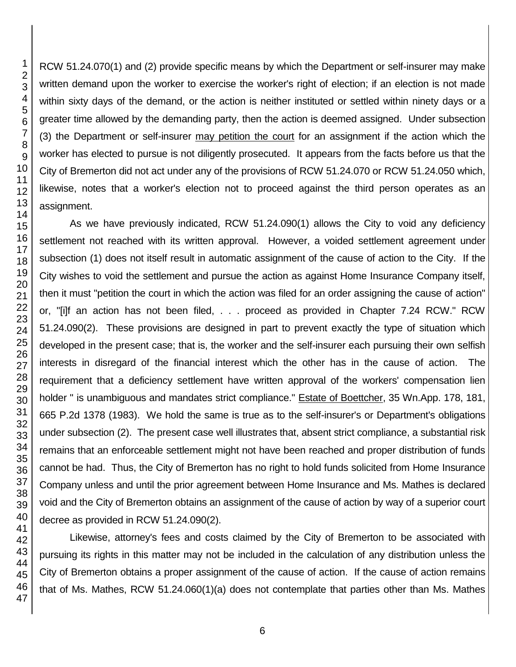RCW 51.24.070(1) and (2) provide specific means by which the Department or self-insurer may make written demand upon the worker to exercise the worker's right of election; if an election is not made within sixty days of the demand, or the action is neither instituted or settled within ninety days or a greater time allowed by the demanding party, then the action is deemed assigned. Under subsection (3) the Department or self-insurer may petition the court for an assignment if the action which the worker has elected to pursue is not diligently prosecuted. It appears from the facts before us that the City of Bremerton did not act under any of the provisions of RCW 51.24.070 or RCW 51.24.050 which, likewise, notes that a worker's election not to proceed against the third person operates as an assignment.

As we have previously indicated, RCW 51.24.090(1) allows the City to void any deficiency settlement not reached with its written approval. However, a voided settlement agreement under subsection (1) does not itself result in automatic assignment of the cause of action to the City. If the City wishes to void the settlement and pursue the action as against Home Insurance Company itself, then it must "petition the court in which the action was filed for an order assigning the cause of action" or, "[i]f an action has not been filed, . . . proceed as provided in Chapter 7.24 RCW." RCW 51.24.090(2). These provisions are designed in part to prevent exactly the type of situation which developed in the present case; that is, the worker and the self-insurer each pursuing their own selfish interests in disregard of the financial interest which the other has in the cause of action. The requirement that a deficiency settlement have written approval of the workers' compensation lien holder " is unambiguous and mandates strict compliance." Estate of Boettcher, 35 Wn.App. 178, 181, 665 P.2d 1378 (1983). We hold the same is true as to the self-insurer's or Department's obligations under subsection (2). The present case well illustrates that, absent strict compliance, a substantial risk remains that an enforceable settlement might not have been reached and proper distribution of funds cannot be had. Thus, the City of Bremerton has no right to hold funds solicited from Home Insurance Company unless and until the prior agreement between Home Insurance and Ms. Mathes is declared void and the City of Bremerton obtains an assignment of the cause of action by way of a superior court decree as provided in RCW 51.24.090(2).

Likewise, attorney's fees and costs claimed by the City of Bremerton to be associated with pursuing its rights in this matter may not be included in the calculation of any distribution unless the City of Bremerton obtains a proper assignment of the cause of action. If the cause of action remains that of Ms. Mathes, RCW 51.24.060(1)(a) does not contemplate that parties other than Ms. Mathes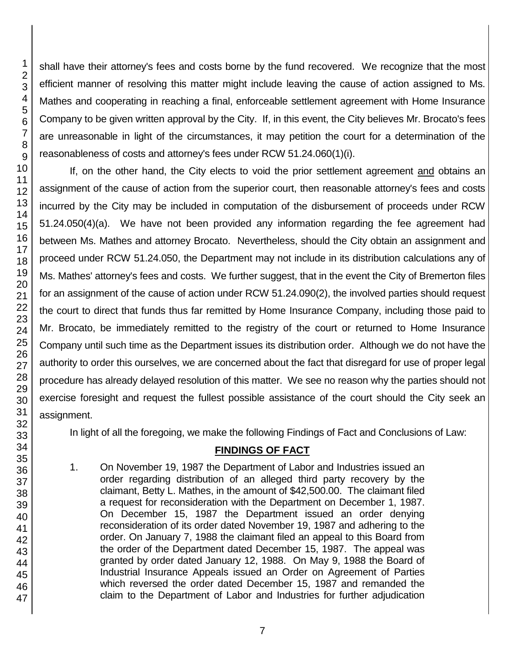46 47

1 2 3

shall have their attorney's fees and costs borne by the fund recovered. We recognize that the most efficient manner of resolving this matter might include leaving the cause of action assigned to Ms. Mathes and cooperating in reaching a final, enforceable settlement agreement with Home Insurance Company to be given written approval by the City. If, in this event, the City believes Mr. Brocato's fees are unreasonable in light of the circumstances, it may petition the court for a determination of the reasonableness of costs and attorney's fees under RCW 51.24.060(1)(i).

If, on the other hand, the City elects to void the prior settlement agreement and obtains an assignment of the cause of action from the superior court, then reasonable attorney's fees and costs incurred by the City may be included in computation of the disbursement of proceeds under RCW 51.24.050(4)(a). We have not been provided any information regarding the fee agreement had between Ms. Mathes and attorney Brocato. Nevertheless, should the City obtain an assignment and proceed under RCW 51.24.050, the Department may not include in its distribution calculations any of Ms. Mathes' attorney's fees and costs. We further suggest, that in the event the City of Bremerton files for an assignment of the cause of action under RCW 51.24.090(2), the involved parties should request the court to direct that funds thus far remitted by Home Insurance Company, including those paid to Mr. Brocato, be immediately remitted to the registry of the court or returned to Home Insurance Company until such time as the Department issues its distribution order. Although we do not have the authority to order this ourselves, we are concerned about the fact that disregard for use of proper legal procedure has already delayed resolution of this matter. We see no reason why the parties should not exercise foresight and request the fullest possible assistance of the court should the City seek an assignment.

In light of all the foregoing, we make the following Findings of Fact and Conclusions of Law:

# **FINDINGS OF FACT**

1. On November 19, 1987 the Department of Labor and Industries issued an order regarding distribution of an alleged third party recovery by the claimant, Betty L. Mathes, in the amount of \$42,500.00. The claimant filed a request for reconsideration with the Department on December 1, 1987. On December 15, 1987 the Department issued an order denying reconsideration of its order dated November 19, 1987 and adhering to the order. On January 7, 1988 the claimant filed an appeal to this Board from the order of the Department dated December 15, 1987. The appeal was granted by order dated January 12, 1988. On May 9, 1988 the Board of Industrial Insurance Appeals issued an Order on Agreement of Parties which reversed the order dated December 15, 1987 and remanded the claim to the Department of Labor and Industries for further adjudication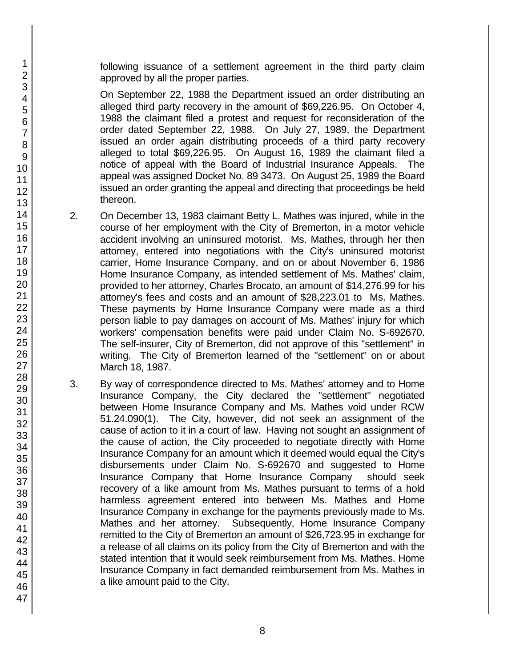following issuance of a settlement agreement in the third party claim approved by all the proper parties.

On September 22, 1988 the Department issued an order distributing an alleged third party recovery in the amount of \$69,226.95. On October 4, 1988 the claimant filed a protest and request for reconsideration of the order dated September 22, 1988. On July 27, 1989, the Department issued an order again distributing proceeds of a third party recovery alleged to total \$69,226.95. On August 16, 1989 the claimant filed a notice of appeal with the Board of Industrial Insurance Appeals. The appeal was assigned Docket No. 89 3473. On August 25, 1989 the Board issued an order granting the appeal and directing that proceedings be held thereon.

- 2. On December 13, 1983 claimant Betty L. Mathes was injured, while in the course of her employment with the City of Bremerton, in a motor vehicle accident involving an uninsured motorist. Ms. Mathes, through her then attorney, entered into negotiations with the City's uninsured motorist carrier, Home Insurance Company, and on or about November 6, 1986 Home Insurance Company, as intended settlement of Ms. Mathes' claim, provided to her attorney, Charles Brocato, an amount of \$14,276.99 for his attorney's fees and costs and an amount of \$28,223.01 to Ms. Mathes. These payments by Home Insurance Company were made as a third person liable to pay damages on account of Ms. Mathes' injury for which workers' compensation benefits were paid under Claim No. S-692670. The self-insurer, City of Bremerton, did not approve of this "settlement" in writing. The City of Bremerton learned of the "settlement" on or about March 18, 1987.
- 3. By way of correspondence directed to Ms. Mathes' attorney and to Home Insurance Company, the City declared the "settlement" negotiated between Home Insurance Company and Ms. Mathes void under RCW 51.24.090(1). The City, however, did not seek an assignment of the cause of action to it in a court of law. Having not sought an assignment of the cause of action, the City proceeded to negotiate directly with Home Insurance Company for an amount which it deemed would equal the City's disbursements under Claim No. S-692670 and suggested to Home Insurance Company that Home Insurance Company should seek recovery of a like amount from Ms. Mathes pursuant to terms of a hold harmless agreement entered into between Ms. Mathes and Home Insurance Company in exchange for the payments previously made to Ms. Mathes and her attorney. Subsequently, Home Insurance Company remitted to the City of Bremerton an amount of \$26,723.95 in exchange for a release of all claims on its policy from the City of Bremerton and with the stated intention that it would seek reimbursement from Ms. Mathes. Home Insurance Company in fact demanded reimbursement from Ms. Mathes in a like amount paid to the City.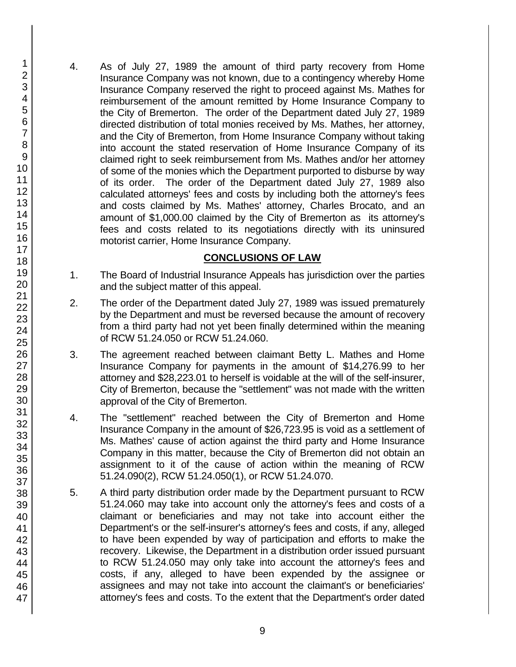4. As of July 27, 1989 the amount of third party recovery from Home Insurance Company was not known, due to a contingency whereby Home Insurance Company reserved the right to proceed against Ms. Mathes for reimbursement of the amount remitted by Home Insurance Company to the City of Bremerton. The order of the Department dated July 27, 1989 directed distribution of total monies received by Ms. Mathes, her attorney, and the City of Bremerton, from Home Insurance Company without taking into account the stated reservation of Home Insurance Company of its claimed right to seek reimbursement from Ms. Mathes and/or her attorney of some of the monies which the Department purported to disburse by way of its order. The order of the Department dated July 27, 1989 also calculated attorneys' fees and costs by including both the attorney's fees and costs claimed by Ms. Mathes' attorney, Charles Brocato, and an amount of \$1,000.00 claimed by the City of Bremerton as its attorney's fees and costs related to its negotiations directly with its uninsured motorist carrier, Home Insurance Company.

# **CONCLUSIONS OF LAW**

- 1. The Board of Industrial Insurance Appeals has jurisdiction over the parties and the subject matter of this appeal.
- 2. The order of the Department dated July 27, 1989 was issued prematurely by the Department and must be reversed because the amount of recovery from a third party had not yet been finally determined within the meaning of RCW 51.24.050 or RCW 51.24.060.
- 3. The agreement reached between claimant Betty L. Mathes and Home Insurance Company for payments in the amount of \$14,276.99 to her attorney and \$28,223.01 to herself is voidable at the will of the self-insurer, City of Bremerton, because the "settlement" was not made with the written approval of the City of Bremerton.
- 4. The "settlement" reached between the City of Bremerton and Home Insurance Company in the amount of \$26,723.95 is void as a settlement of Ms. Mathes' cause of action against the third party and Home Insurance Company in this matter, because the City of Bremerton did not obtain an assignment to it of the cause of action within the meaning of RCW 51.24.090(2), RCW 51.24.050(1), or RCW 51.24.070.
- 5. A third party distribution order made by the Department pursuant to RCW 51.24.060 may take into account only the attorney's fees and costs of a claimant or beneficiaries and may not take into account either the Department's or the self-insurer's attorney's fees and costs, if any, alleged to have been expended by way of participation and efforts to make the recovery. Likewise, the Department in a distribution order issued pursuant to RCW 51.24.050 may only take into account the attorney's fees and costs, if any, alleged to have been expended by the assignee or assignees and may not take into account the claimant's or beneficiaries' attorney's fees and costs. To the extent that the Department's order dated

47